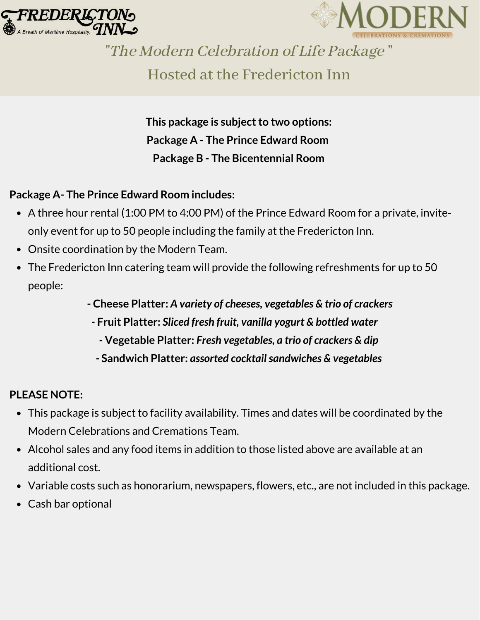



"The Modern Celebration of Life Package "

Hosted at the Fredericton Inn

*This* **package is subject to two options: Package A - The Prince Edward Room Package B - The Bicentennial Room**

## **Package A- The Prince Edward Room includes:**

- A three hour rental (1:00 PM to 4:00 PM) of the Prince Edward Room for a private, inviteonly event for up to 50 people including the family at the Fredericton Inn.
- Onsite coordination by the Modern Team.
- The Fredericton Inn catering team will provide the following refreshments for up to 50 people:
	- **- Cheese Platter:** *A variety of cheeses, vegetables & trio of crackers*
	- *-* **Fruit Platter:** *Sliced fresh fruit, vanilla yogurt & bottled water*
		- *-* **Vegetable Platter:** *Fresh vegetables, a trio of crackers & dip*
	- *-* **Sandwich Platter:** *assorted cocktailsandwiches & vegetables*

#### **PLEASE NOTE:**

- This package is subject to facility availability. Times and dates will be coordinated by the Modern Celebrations and Cremations Team.
- Alcohol sales and any food items in addition to those listed above are available at an additional cost.
- Variable costs such as honorarium, newspapers, flowers, etc., are not included in this package.
- Cash bar optional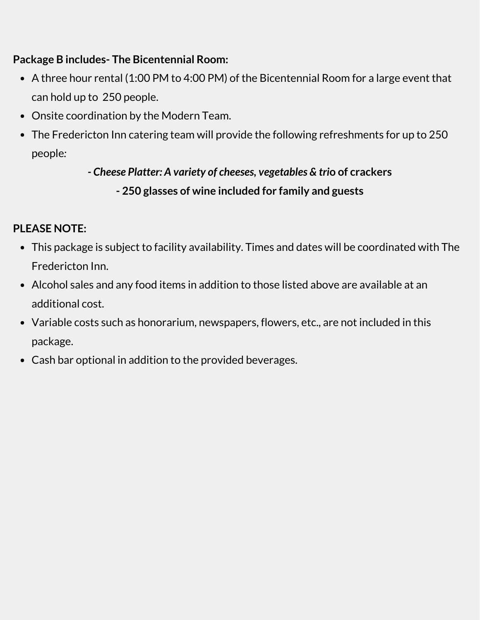### **Package B includes- The Bicentennial Room:**

- A three hour rental (1:00 PM to 4:00 PM) of the Bicentennial Room for a large event that can hold up to 250 people.
- Onsite coordination by the Modern Team.
- The Fredericton Inn catering team will provide the following refreshments for up to 250 people*:*

*- Cheese Platter: A variety of cheeses, vegetables & tri***o of crackers - 250 glasses of wine included for family and guests**

## **PLEASE NOTE:**

- This package is subject to facility availability. Times and dates will be coordinated with The Fredericton Inn.
- Alcohol sales and any food items in addition to those listed above are available at an additional cost.
- Variable costs such as honorarium, newspapers, flowers, etc., are not included in this package.
- Cash bar optional in addition to the provided beverages.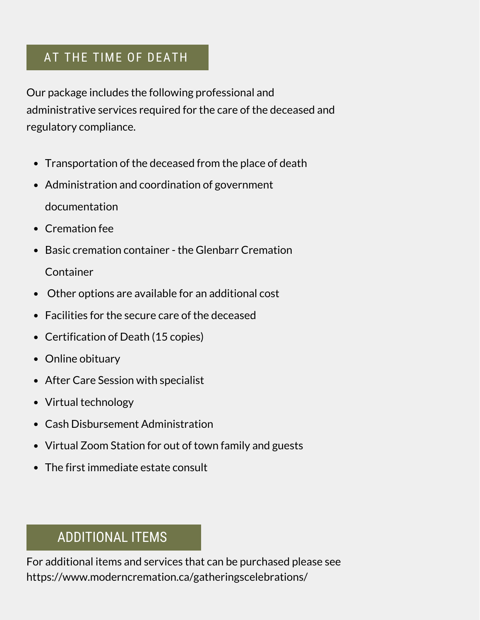## AT THE TIME OF DEATH

Our package includes the following professional and administrative services required for the care of the deceased and regulatory compliance.

- Transportation of the deceased from the place of death
- Administration and coordination of government documentation
- Cremation fee
- Basic cremation container the Glenbarr Cremation

**Container** 

- Other options are available for an additional cost
- Facilities for the secure care of the deceased
- Certification of Death (15 copies)
- Online obituary
- After Care Session with specialist
- Virtual technology
- Cash Disbursement Administration
- Virtual Zoom Station for out of town family and guests
- The first immediate estate consult

# ADDITIONAL ITEMS

For additional items and services that can be purchased please see https://www.moderncremation.ca/gatheringscelebrations/